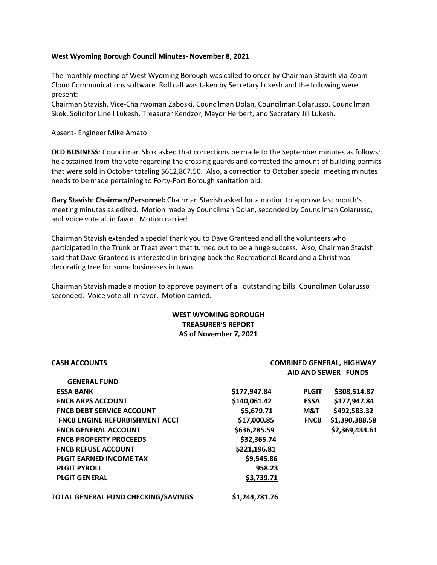## **West Wyoming Borough Council Minutes- November 8, 2021**

The monthly meeting of West Wyoming Borough was called to order by Chairman Stavish via Zoom Cloud Communications software. Roll call was taken by Secretary Lukesh and the following were present:

Chairman Stavish, Vice-Chairwoman Zaboski, Councilman Dolan, Councilman Colarusso, Councilman Skok, Solicitor Linell Lukesh, Treasurer Kendzor, Mayor Herbert, and Secretary Jill Lukesh.

Absent- Engineer Mike Amato

**OLD BUSINESS**: Councilman Skok asked that corrections be made to the September minutes as follows: he abstained from the vote regarding the crossing guards and corrected the amount of building permits that were sold in October totaling \$612,867.50. Also, a correction to October special meeting minutes needs to be made pertaining to Forty-Fort Borough sanitation bid.

**Gary Stavish: Chairman/Personnel:** Chairman Stavish asked for a motion to approve last month's meeting minutes as edited. Motion made by Councilman Dolan, seconded by Councilman Colarusso, and Voice vote all in favor. Motion carried.

Chairman Stavish extended a special thank you to Dave Granteed and all the volunteers who participated in the Trunk or Treat event that turned out to be a huge success. Also, Chairman Stavish said that Dave Granteed is interested in bringing back the Recreational Board and a Christmas decorating tree for some businesses in town.

Chairman Stavish made a motion to approve payment of all outstanding bills. Councilman Colarusso seconded. Voice vote all in favor. Motion carried.

## **WEST WYOMING BOROUGH TREASURER'S REPORT AS of November 7, 2021**

| <b>CASH ACCOUNTS</b>                  | <b>COMBINED GENERAL, HIGHWAY</b> |              |                            |
|---------------------------------------|----------------------------------|--------------|----------------------------|
|                                       |                                  |              | <b>AID AND SEWER FUNDS</b> |
| <b>GENERAL FUND</b>                   |                                  |              |                            |
| <b>ESSA BANK</b>                      | \$177,947.84                     | <b>PLGIT</b> | \$308,514.87               |
| <b>FNCB ARPS ACCOUNT</b>              | \$140,061.42                     | <b>ESSA</b>  | \$177,947.84               |
| <b>FNCB DEBT SERVICE ACCOUNT</b>      | \$5,679.71                       | M&T          | \$492,583.32               |
| <b>FNCB ENGINE REFURBISHMENT ACCT</b> | \$17,000.85                      | <b>FNCB</b>  | \$1,390,388.58             |
| <b>FNCB GENERAL ACCOUNT</b>           | \$636,285.59                     |              | \$2,369,434.61             |
| <b>FNCB PROPERTY PROCEEDS</b>         | \$32,365.74                      |              |                            |
| <b>FNCB REFUSE ACCOUNT</b>            | \$221,196.81                     |              |                            |
| <b>PLGIT EARNED INCOME TAX</b>        | \$9,545.86                       |              |                            |
| <b>PLGIT PYROLL</b>                   | 958.23                           |              |                            |
| <b>PLGIT GENERAL</b>                  | \$3,739.71                       |              |                            |
| TOTAL GENERAL FUND CHECKING/SAVINGS   | \$1,244,781.76                   |              |                            |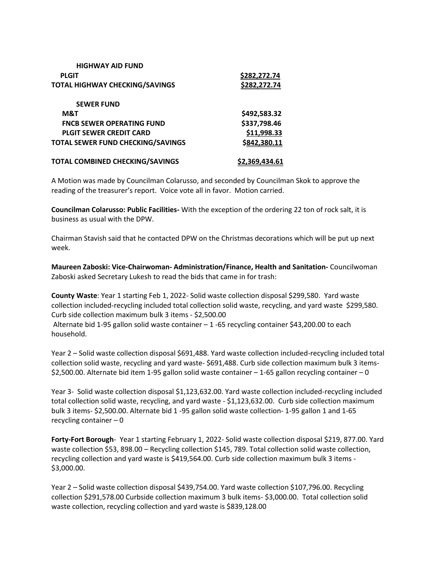| <b>HIGHWAY AID FUND</b>                  |                     |
|------------------------------------------|---------------------|
| <b>PLGIT</b>                             | \$282,272.74        |
| <b>TOTAL HIGHWAY CHECKING/SAVINGS</b>    | <u>\$282,272.74</u> |
| <b>SEWER FUND</b>                        |                     |
| M&T                                      | \$492,583.32        |
| <b>FNCB SEWER OPERATING FUND</b>         | \$337,798.46        |
| <b>PLGIT SEWER CREDIT CARD</b>           | \$11,998.33         |
| <b>TOTAL SEWER FUND CHECKING/SAVINGS</b> | \$842,380.11        |
| <b>TOTAL COMBINED CHECKING/SAVINGS</b>   | \$2,369,434.61      |

A Motion was made by Councilman Colarusso, and seconded by Councilman Skok to approve the reading of the treasurer's report. Voice vote all in favor. Motion carried.

**Councilman Colarusso: Public Facilities-** With the exception of the ordering 22 ton of rock salt, it is business as usual with the DPW.

Chairman Stavish said that he contacted DPW on the Christmas decorations which will be put up next week.

**Maureen Zaboski: Vice-Chairwoman- Administration/Finance, Health and Sanitation-** Councilwoman Zaboski asked Secretary Lukesh to read the bids that came in for trash:

**County Waste**: Year 1 starting Feb 1, 2022- Solid waste collection disposal \$299,580. Yard waste collection included-recycling included total collection solid waste, recycling, and yard waste \$299,580. Curb side collection maximum bulk 3 items - \$2,500.00 Alternate bid 1-95 gallon solid waste container – 1 -65 recycling container \$43,200.00 to each household.

Year 2 – Solid waste collection disposal \$691,488. Yard waste collection included-recycling included total collection solid waste, recycling and yard waste- \$691,488. Curb side collection maximum bulk 3 items- \$2,500.00. Alternate bid item 1-95 gallon solid waste container – 1-65 gallon recycling container – 0

Year 3- Solid waste collection disposal \$1,123,632.00. Yard waste collection included-recycling included total collection solid waste, recycling, and yard waste - \$1,123,632.00. Curb side collection maximum bulk 3 items- \$2,500.00. Alternate bid 1 -95 gallon solid waste collection- 1-95 gallon 1 and 1-65 recycling container – 0

Forty-Fort Borough-Year 1 starting February 1, 2022- Solid waste collection disposal \$219, 877.00. Yard waste collection \$53, 898.00 – Recycling collection \$145, 789. Total collection solid waste collection, recycling collection and yard waste is \$419,564.00. Curb side collection maximum bulk 3 items - \$3,000.00.

Year 2 – Solid waste collection disposal \$439,754.00. Yard waste collection \$107,796.00. Recycling collection \$291,578.00 Curbside collection maximum 3 bulk items- \$3,000.00. Total collection solid waste collection, recycling collection and yard waste is \$839,128.00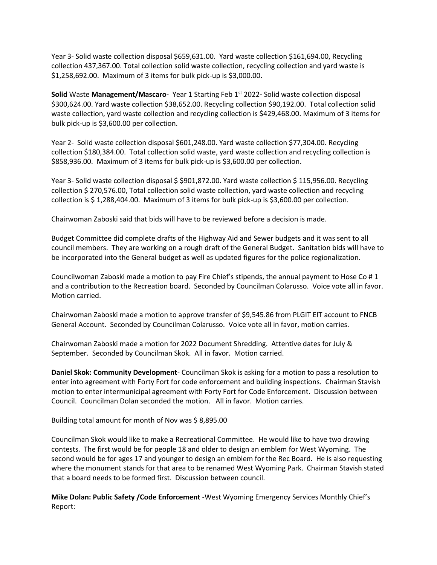Year 3- Solid waste collection disposal \$659,631.00. Yard waste collection \$161,694.00, Recycling collection 437,367.00. Total collection solid waste collection, recycling collection and yard waste is \$1,258,692.00. Maximum of 3 items for bulk pick-up is \$3,000.00.

**Solid** Waste **Management/Mascaro-** Year 1 Starting Feb 1st 2022**-** Solid waste collection disposal \$300,624.00. Yard waste collection \$38,652.00. Recycling collection \$90,192.00. Total collection solid waste collection, yard waste collection and recycling collection is \$429,468.00. Maximum of 3 items for bulk pick-up is \$3,600.00 per collection.

Year 2- Solid waste collection disposal \$601,248.00. Yard waste collection \$77,304.00. Recycling collection \$180,384.00. Total collection solid waste, yard waste collection and recycling collection is \$858,936.00. Maximum of 3 items for bulk pick-up is \$3,600.00 per collection.

Year 3- Solid waste collection disposal \$ \$901,872.00. Yard waste collection \$ 115,956.00. Recycling collection \$ 270,576.00, Total collection solid waste collection, yard waste collection and recycling collection is \$ 1,288,404.00. Maximum of 3 items for bulk pick-up is \$3,600.00 per collection.

Chairwoman Zaboski said that bids will have to be reviewed before a decision is made.

Budget Committee did complete drafts of the Highway Aid and Sewer budgets and it was sent to all council members. They are working on a rough draft of the General Budget. Sanitation bids will have to be incorporated into the General budget as well as updated figures for the police regionalization.

Councilwoman Zaboski made a motion to pay Fire Chief's stipends, the annual payment to Hose Co # 1 and a contribution to the Recreation board. Seconded by Councilman Colarusso. Voice vote all in favor. Motion carried.

Chairwoman Zaboski made a motion to approve transfer of \$9,545.86 from PLGIT EIT account to FNCB General Account. Seconded by Councilman Colarusso. Voice vote all in favor, motion carries.

Chairwoman Zaboski made a motion for 2022 Document Shredding. Attentive dates for July & September. Seconded by Councilman Skok. All in favor. Motion carried.

**Daniel Skok: Community Development**- Councilman Skok is asking for a motion to pass a resolution to enter into agreement with Forty Fort for code enforcement and building inspections. Chairman Stavish motion to enter intermunicipal agreement with Forty Fort for Code Enforcement. Discussion between Council. Councilman Dolan seconded the motion. All in favor. Motion carries.

Building total amount for month of Nov was \$ 8,895.00

Councilman Skok would like to make a Recreational Committee. He would like to have two drawing contests. The first would be for people 18 and older to design an emblem for West Wyoming. The second would be for ages 17 and younger to design an emblem for the Rec Board. He is also requesting where the monument stands for that area to be renamed West Wyoming Park. Chairman Stavish stated that a board needs to be formed first. Discussion between council.

**Mike Dolan: Public Safety /Code Enforcement** -West Wyoming Emergency Services Monthly Chief's Report: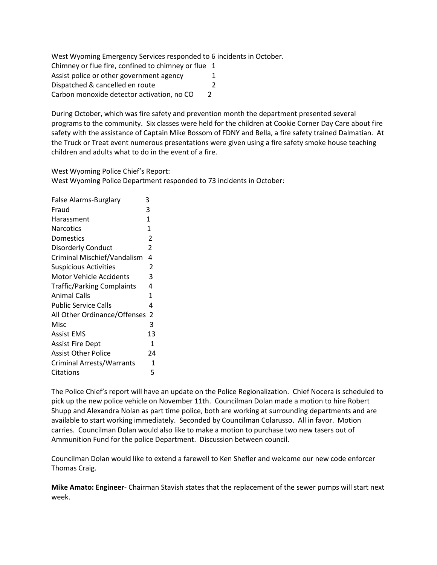West Wyoming Emergency Services responded to 6 incidents in October.

Chimney or flue fire, confined to chimney or flue 1 Assist police or other government agency 1 Dispatched & cancelled en route 2 Carbon monoxide detector activation, no CO 2

During October, which was fire safety and prevention month the department presented several programs to the community. Six classes were held for the children at Cookie Corner Day Care about fire safety with the assistance of Captain Mike Bossom of FDNY and Bella, a fire safety trained Dalmatian. At the Truck or Treat event numerous presentations were given using a fire safety smoke house teaching children and adults what to do in the event of a fire.

West Wyoming Police Chief's Report: West Wyoming Police Department responded to 73 incidents in October:

| False Alarms-Burglary             | 3            |
|-----------------------------------|--------------|
| Fraud                             | 3            |
| Harassment                        | $\mathbf{1}$ |
| Narcotics                         | $\mathbf{1}$ |
| Domestics                         | 2            |
| Disorderly Conduct                | 2            |
| Criminal Mischief/Vandalism       | 4            |
| <b>Suspicious Activities</b>      | 2            |
| <b>Motor Vehicle Accidents</b>    | 3            |
| <b>Traffic/Parking Complaints</b> | 4            |
| <b>Animal Calls</b>               | 1            |
| <b>Public Service Calls</b>       | 4            |
| All Other Ordinance/Offenses      | 2            |
| Misc                              | 3            |
| <b>Assist EMS</b>                 | 13           |
| Assist Fire Dept                  | 1            |
| <b>Assist Other Police</b>        | 24           |
| <b>Criminal Arrests/Warrants</b>  | 1            |
| Citations                         | 5            |

The Police Chief's report will have an update on the Police Regionalization. Chief Nocera is scheduled to pick up the new police vehicle on November 11th. Councilman Dolan made a motion to hire Robert Shupp and Alexandra Nolan as part time police, both are working at surrounding departments and are available to start working immediately. Seconded by Councilman Colarusso. All in favor. Motion carries. Councilman Dolan would also like to make a motion to purchase two new tasers out of Ammunition Fund for the police Department. Discussion between council.

Councilman Dolan would like to extend a farewell to Ken Shefler and welcome our new code enforcer Thomas Craig.

**Mike Amato: Engineer**- Chairman Stavish states that the replacement of the sewer pumps will start next week.